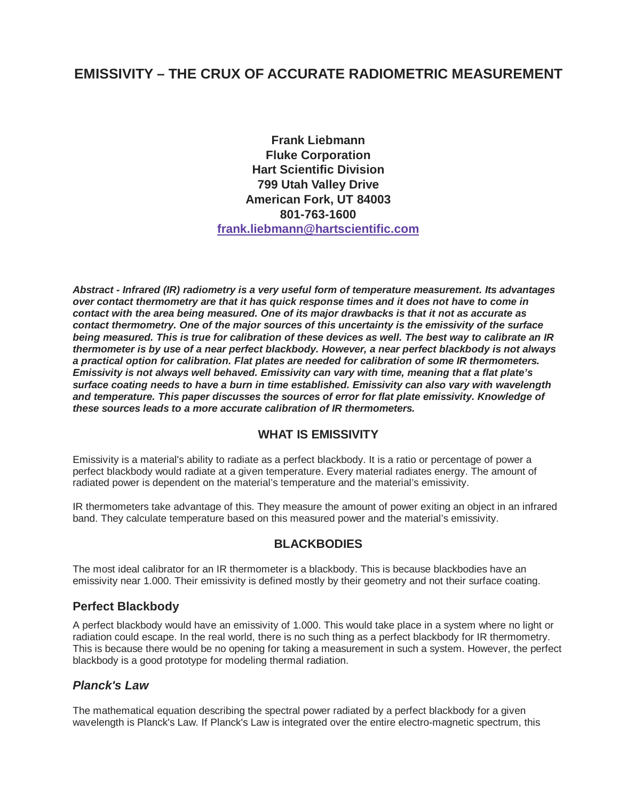# **EMISSIVITY – THE CRUX OF ACCURATE RADIOMETRIC MEASUREMENT**

**Frank Liebmann Fluke Corporation Hart Scientific Division 799 Utah Valley Drive American Fork, UT 84003 801-763-1600 frank.liebmann@hartscientific.com**

**Abstract - Infrared (IR) radiometry is a very useful form of temperature measurement. Its advantages over contact thermometry are that it has quick response times and it does not have to come in contact with the area being measured. One of its major drawbacks is that it not as accurate as contact thermometry. One of the major sources of this uncertainty is the emissivity of the surface being measured. This is true for calibration of these devices as well. The best way to calibrate an IR thermometer is by use of a near perfect blackbody. However, a near perfect blackbody is not always a practical option for calibration. Flat plates are needed for calibration of some IR thermometers. Emissivity is not always well behaved. Emissivity can vary with time, meaning that a flat plate's surface coating needs to have a burn in time established. Emissivity can also vary with wavelength and temperature. This paper discusses the sources of error for flat plate emissivity. Knowledge of these sources leads to a more accurate calibration of IR thermometers.** 

#### **WHAT IS EMISSIVITY**

Emissivity is a material's ability to radiate as a perfect blackbody. It is a ratio or percentage of power a perfect blackbody would radiate at a given temperature. Every material radiates energy. The amount of radiated power is dependent on the material's temperature and the material's emissivity.

IR thermometers take advantage of this. They measure the amount of power exiting an object in an infrared band. They calculate temperature based on this measured power and the material's emissivity.

#### **BLACKBODIES**

The most ideal calibrator for an IR thermometer is a blackbody. This is because blackbodies have an emissivity near 1.000. Their emissivity is defined mostly by their geometry and not their surface coating.

#### **Perfect Blackbody**

A perfect blackbody would have an emissivity of 1.000. This would take place in a system where no light or radiation could escape. In the real world, there is no such thing as a perfect blackbody for IR thermometry. This is because there would be no opening for taking a measurement in such a system. However, the perfect blackbody is a good prototype for modeling thermal radiation.

#### **Planck's Law**

The mathematical equation describing the spectral power radiated by a perfect blackbody for a given wavelength is Planck's Law. If Planck's Law is integrated over the entire electro-magnetic spectrum, this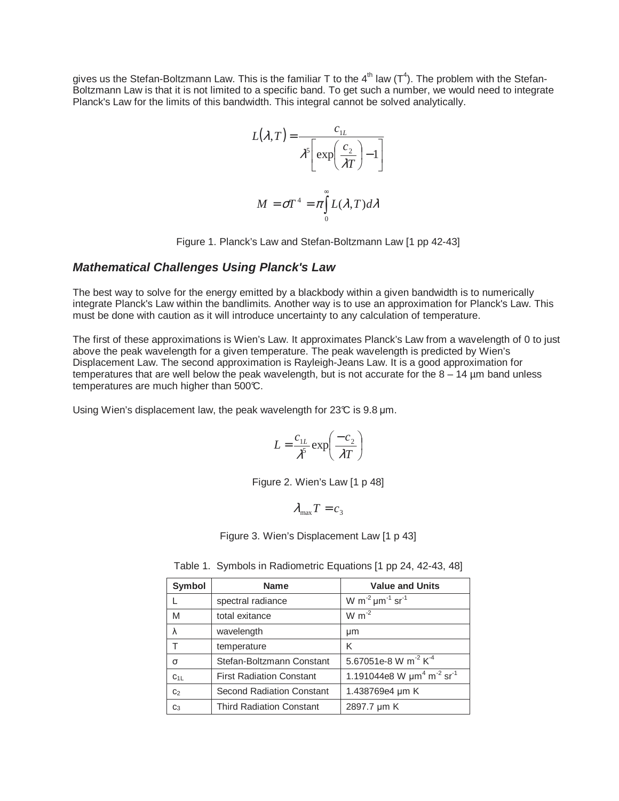gives us the Stefan-Boltzmann Law. This is the familiar T to the 4<sup>th</sup> law (T<sup>4</sup>). The problem with the Stefan-Boltzmann Law is that it is not limited to a specific band. To get such a number, we would need to integrate Planck's Law for the limits of this bandwidth. This integral cannot be solved analytically.

$$
L(\lambda, T) = \frac{c_{1L}}{\lambda^5 \left[ \exp\left(\frac{c_2}{\lambda T}\right) - 1 \right]}
$$

$$
M = \sigma T^4 = \pi \int_0^\infty L(\lambda, T) d\lambda
$$

Figure 1. Planck's Law and Stefan-Boltzmann Law [1 pp 42-43]

#### **Mathematical Challenges Using Planck's Law**

The best way to solve for the energy emitted by a blackbody within a given bandwidth is to numerically integrate Planck's Law within the bandlimits. Another way is to use an approximation for Planck's Law. This must be done with caution as it will introduce uncertainty to any calculation of temperature.

The first of these approximations is Wien's Law. It approximates Planck's Law from a wavelength of 0 to just above the peak wavelength for a given temperature. The peak wavelength is predicted by Wien's Displacement Law. The second approximation is Rayleigh-Jeans Law. It is a good approximation for temperatures that are well below the peak wavelength, but is not accurate for the  $8 - 14$  µm band unless temperatures are much higher than 500°C.

Using Wien's displacement law, the peak wavelength for  $23\textdegree C$  is  $9.8\,\textnormal{µm}$ .

$$
L = \frac{c_{1L}}{\lambda^5} \exp\left(\frac{-c_2}{\lambda T}\right)
$$

Figure 2. Wien's Law [1 p 48]

$$
\lambda_{\max} T = c_3
$$

Figure 3. Wien's Displacement Law [1 p 43]

| Symbol         | <b>Name</b>                      | <b>Value and Units</b>                                             |
|----------------|----------------------------------|--------------------------------------------------------------------|
|                | spectral radiance                | W m <sup>-2</sup> $\mu$ m <sup>-1</sup> sr <sup>-1</sup>           |
| M              | total exitance                   | $W m^{-2}$                                                         |
| λ              | wavelength                       | μm                                                                 |
| т              | temperature                      | K                                                                  |
| $\sigma$       | Stefan-Boltzmann Constant        | 5.67051e-8 W m <sup>-2</sup> K <sup>-4</sup>                       |
| $C_{1L}$       | <b>First Radiation Constant</b>  | 1.191044e8 W $\mu$ m <sup>4</sup> m <sup>-2</sup> sr <sup>-1</sup> |
| C <sub>2</sub> | <b>Second Radiation Constant</b> | 1.438769e4 um K                                                    |
| $C_3$          | <b>Third Radiation Constant</b>  | 2897.7 µm K                                                        |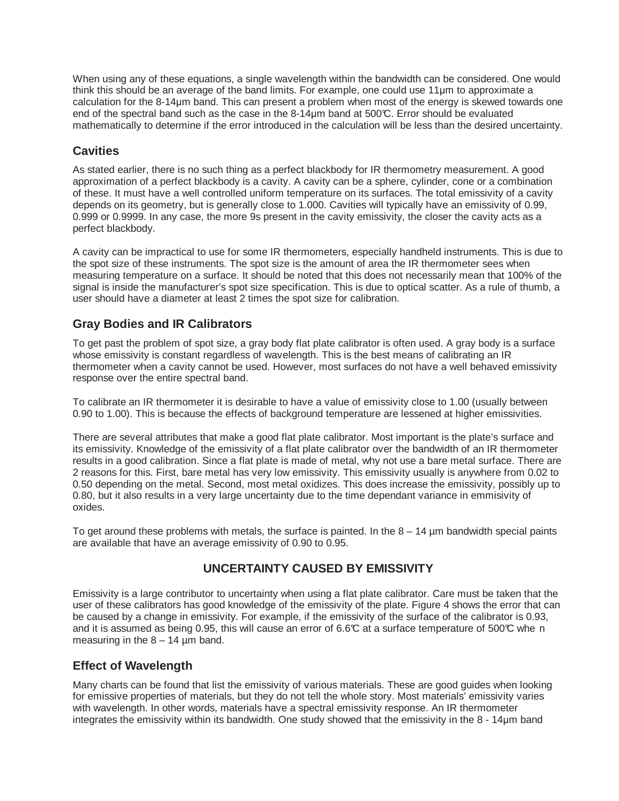When using any of these equations, a single wavelength within the bandwidth can be considered. One would think this should be an average of the band limits. For example, one could use 11µm to approximate a calculation for the 8-14µm band. This can present a problem when most of the energy is skewed towards one end of the spectral band such as the case in the 8-14µm band at 500°C. Error should be evaluated mathematically to determine if the error introduced in the calculation will be less than the desired uncertainty.

## **Cavities**

As stated earlier, there is no such thing as a perfect blackbody for IR thermometry measurement. A good approximation of a perfect blackbody is a cavity. A cavity can be a sphere, cylinder, cone or a combination of these. It must have a well controlled uniform temperature on its surfaces. The total emissivity of a cavity depends on its geometry, but is generally close to 1.000. Cavities will typically have an emissivity of 0.99, 0.999 or 0.9999. In any case, the more 9s present in the cavity emissivity, the closer the cavity acts as a perfect blackbody.

A cavity can be impractical to use for some IR thermometers, especially handheld instruments. This is due to the spot size of these instruments. The spot size is the amount of area the IR thermometer sees when measuring temperature on a surface. It should be noted that this does not necessarily mean that 100% of the signal is inside the manufacturer's spot size specification. This is due to optical scatter. As a rule of thumb, a user should have a diameter at least 2 times the spot size for calibration.

## **Gray Bodies and IR Calibrators**

To get past the problem of spot size, a gray body flat plate calibrator is often used. A gray body is a surface whose emissivity is constant regardless of wavelength. This is the best means of calibrating an IR thermometer when a cavity cannot be used. However, most surfaces do not have a well behaved emissivity response over the entire spectral band.

To calibrate an IR thermometer it is desirable to have a value of emissivity close to 1.00 (usually between 0.90 to 1.00). This is because the effects of background temperature are lessened at higher emissivities.

There are several attributes that make a good flat plate calibrator. Most important is the plate's surface and its emissivity. Knowledge of the emissivity of a flat plate calibrator over the bandwidth of an IR thermometer results in a good calibration. Since a flat plate is made of metal, why not use a bare metal surface. There are 2 reasons for this. First, bare metal has very low emissivity. This emissivity usually is anywhere from 0.02 to 0.50 depending on the metal. Second, most metal oxidizes. This does increase the emissivity, possibly up to 0.80, but it also results in a very large uncertainty due to the time dependant variance in emmisivity of oxides.

To get around these problems with metals, the surface is painted. In the  $8 - 14$  µm bandwidth special paints are available that have an average emissivity of 0.90 to 0.95.

## **UNCERTAINTY CAUSED BY EMISSIVITY**

Emissivity is a large contributor to uncertainty when using a flat plate calibrator. Care must be taken that the user of these calibrators has good knowledge of the emissivity of the plate. Figure 4 shows the error that can be caused by a change in emissivity. For example, if the emissivity of the surface of the calibrator is 0.93, and it is assumed as being 0.95, this will cause an error of 6.6°C at a surface temperature of 500°C whe n measuring in the  $8 - 14$  µm band.

## **Effect of Wavelength**

Many charts can be found that list the emissivity of various materials. These are good guides when looking for emissive properties of materials, but they do not tell the whole story. Most materials' emissivity varies with wavelength. In other words, materials have a spectral emissivity response. An IR thermometer integrates the emissivity within its bandwidth. One study showed that the emissivity in the 8 - 14µm band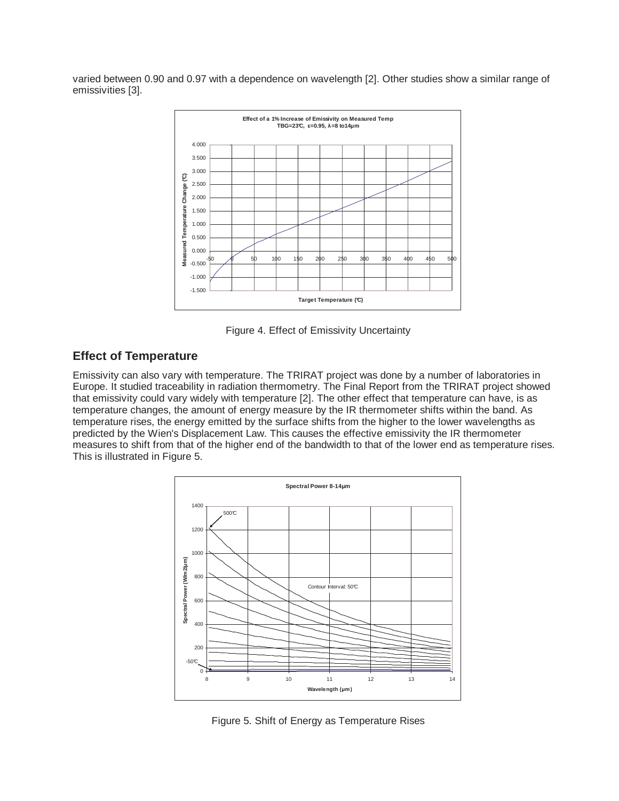varied between 0.90 and 0.97 with a dependence on wavelength [2]. Other studies show a similar range of emissivities [3].



Figure 4. Effect of Emissivity Uncertainty

## **Effect of Temperature**

Emissivity can also vary with temperature. The TRIRAT project was done by a number of laboratories in Europe. It studied traceability in radiation thermometry. The Final Report from the TRIRAT project showed that emissivity could vary widely with temperature [2]. The other effect that temperature can have, is as temperature changes, the amount of energy measure by the IR thermometer shifts within the band. As temperature rises, the energy emitted by the surface shifts from the higher to the lower wavelengths as predicted by the Wien's Displacement Law. This causes the effective emissivity the IR thermometer measures to shift from that of the higher end of the bandwidth to that of the lower end as temperature rises. This is illustrated in Figure 5.



Figure 5. Shift of Energy as Temperature Rises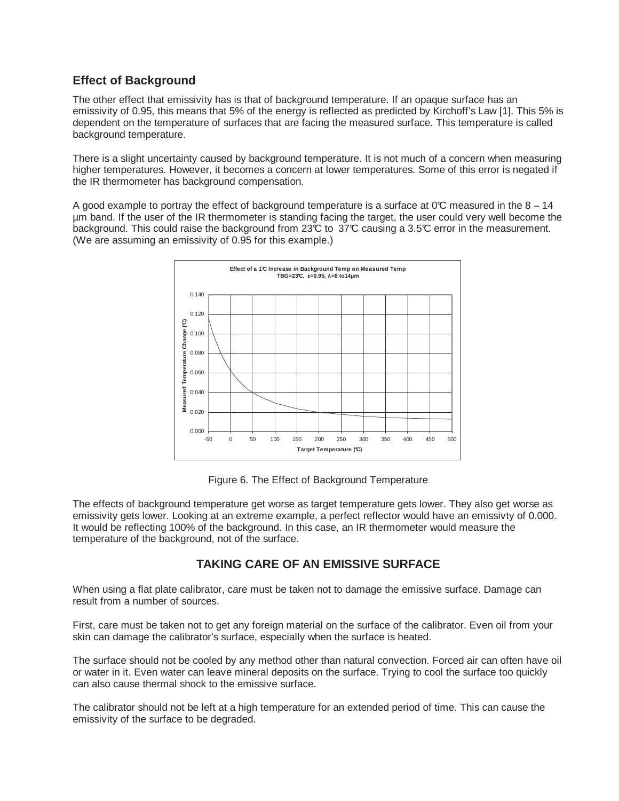## **Effect of Background**

The other effect that emissivity has is that of background temperature. If an opaque surface has an emissivity of 0.95, this means that 5% of the energy is reflected as predicted by Kirchoff's Law [1]. This 5% is dependent on the temperature of surfaces that are facing the measured surface. This temperature is called background temperature.

There is a slight uncertainty caused by background temperature. It is not much of a concern when measuring higher temperatures. However, it becomes a concern at lower temperatures. Some of this error is negated if the IR thermometer has background compensation.

A good example to portray the effect of background temperature is a surface at  $0\degree$  measured in the 8 – 14 µm band. If the user of the IR thermometer is standing facing the target, the user could very well become the background. This could raise the background from 23°C to 37°C causing a 3.5°C error in the measurement. (We are assuming an emissivity of 0.95 for this example.)



Figure 6. The Effect of Background Temperature

The effects of background temperature get worse as target temperature gets lower. They also get worse as emissivity gets lower. Looking at an extreme example, a perfect reflector would have an emissivty of 0.000. It would be reflecting 100% of the background. In this case, an IR thermometer would measure the temperature of the background, not of the surface.

## **TAKING CARE OF AN EMISSIVE SURFACE**

When using a flat plate calibrator, care must be taken not to damage the emissive surface. Damage can result from a number of sources.

First, care must be taken not to get any foreign material on the surface of the calibrator. Even oil from your skin can damage the calibrator's surface, especially when the surface is heated.

The surface should not be cooled by any method other than natural convection. Forced air can often have oil or water in it. Even water can leave mineral deposits on the surface. Trying to cool the surface too quickly can also cause thermal shock to the emissive surface.

The calibrator should not be left at a high temperature for an extended period of time. This can cause the emissivity of the surface to be degraded.